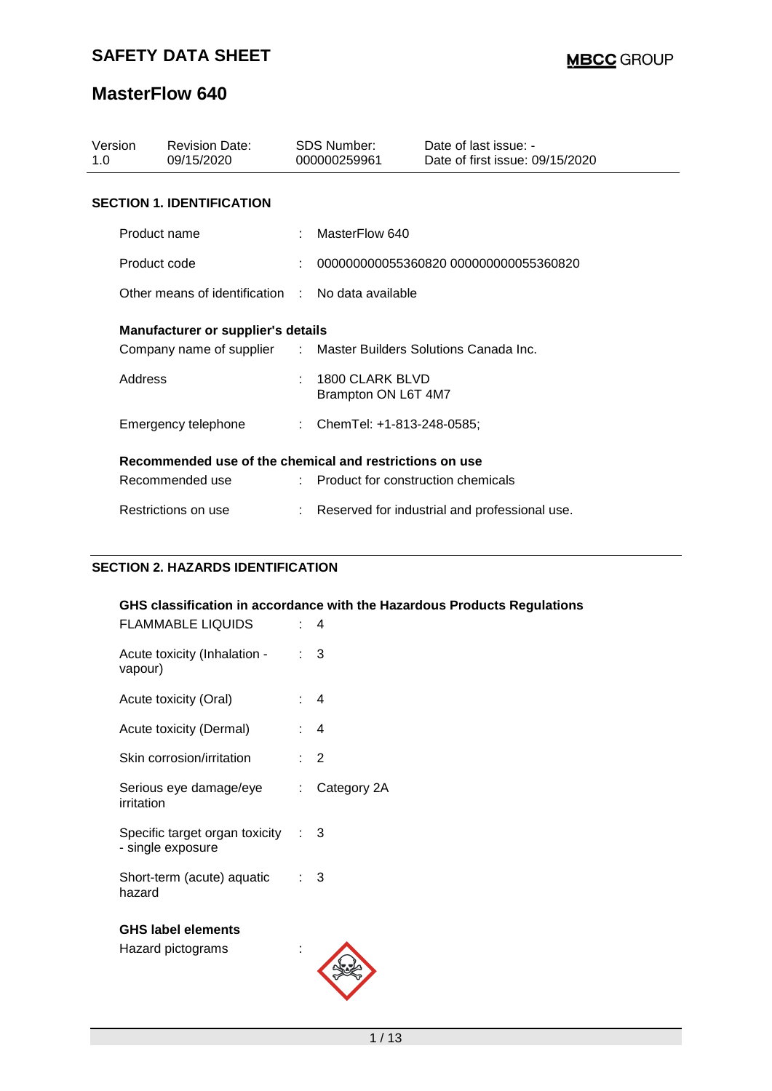| Version<br>1.O                            | <b>Revision Date:</b><br>09/15/2020                     |  | SDS Number:<br>000000259961                     | Date of last issue: -<br>Date of first issue: 09/15/2020 |  |  |  |  |
|-------------------------------------------|---------------------------------------------------------|--|-------------------------------------------------|----------------------------------------------------------|--|--|--|--|
|                                           | <b>SECTION 1. IDENTIFICATION</b>                        |  |                                                 |                                                          |  |  |  |  |
|                                           | Product name                                            |  | MasterFlow 640                                  |                                                          |  |  |  |  |
|                                           | Product code                                            |  |                                                 | 000000000055360820 000000000055360820                    |  |  |  |  |
|                                           | Other means of identification : No data available       |  |                                                 |                                                          |  |  |  |  |
| <b>Manufacturer or supplier's details</b> |                                                         |  |                                                 |                                                          |  |  |  |  |
|                                           | Company name of supplier                                |  |                                                 | : Master Builders Solutions Canada Inc.                  |  |  |  |  |
|                                           | Address                                                 |  | 1800 CLARK BLVD<br>Brampton ON L6T 4M7          |                                                          |  |  |  |  |
|                                           | Emergency telephone                                     |  | : ChemTel: +1-813-248-0585;                     |                                                          |  |  |  |  |
|                                           | Recommended use of the chemical and restrictions on use |  |                                                 |                                                          |  |  |  |  |
|                                           | Recommended use                                         |  | $\therefore$ Product for construction chemicals |                                                          |  |  |  |  |
|                                           | Restrictions on use                                     |  |                                                 | Reserved for industrial and professional use.            |  |  |  |  |

## **SECTION 2. HAZARDS IDENTIFICATION**

| <b>FLAMMABLE LIQUIDS</b>                                | t.                        | GHS classification in accordance with the Hazardous Products Regulations<br>4 |
|---------------------------------------------------------|---------------------------|-------------------------------------------------------------------------------|
| Acute toxicity (Inhalation -<br>vapour)                 |                           | 3                                                                             |
| Acute toxicity (Oral)                                   |                           | $\overline{4}$                                                                |
| Acute toxicity (Dermal)                                 |                           | $\overline{4}$                                                                |
| Skin corrosion/irritation                               |                           | $\overline{2}$                                                                |
| Serious eye damage/eye<br>irritation                    | $\mathbb{R}^{\mathbb{Z}}$ | Category 2A                                                                   |
| Specific target organ toxicity : 3<br>- single exposure |                           |                                                                               |
| Short-term (acute) aquatic<br>hazard                    | t.                        | 3                                                                             |
| <b>GHS label elements</b><br>Hazard pictograms          |                           |                                                                               |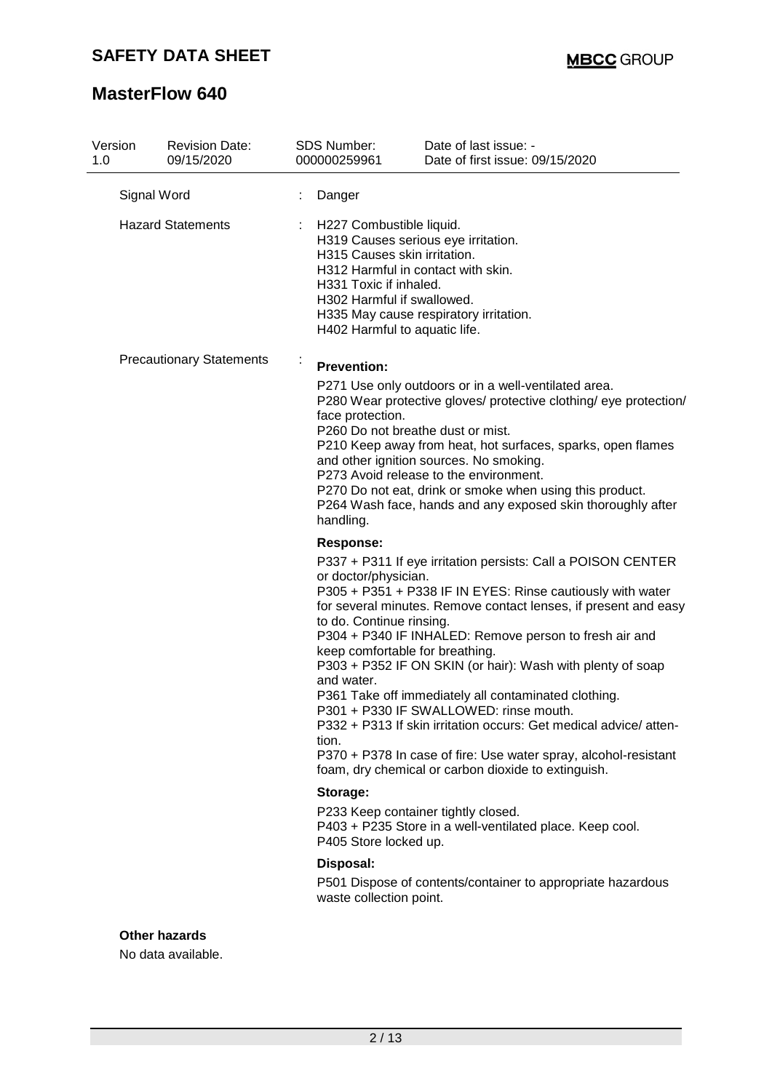# **SAFETY DATA SHEET**

# **MasterFlow 640**

| Version<br>1.0 | <b>Revision Date:</b><br>09/15/2020 |   | <b>SDS Number:</b><br>000000259961                                                                                                                                                                                                                                                                      | Date of last issue: -<br>Date of first issue: 09/15/2020                                                                                                                                                                                                                                                                                                                                                                                                                                                                                                                                                                                                                                                                                                                                                                                                                                                                                                                                                                                                                                                                                                                                            |
|----------------|-------------------------------------|---|---------------------------------------------------------------------------------------------------------------------------------------------------------------------------------------------------------------------------------------------------------------------------------------------------------|-----------------------------------------------------------------------------------------------------------------------------------------------------------------------------------------------------------------------------------------------------------------------------------------------------------------------------------------------------------------------------------------------------------------------------------------------------------------------------------------------------------------------------------------------------------------------------------------------------------------------------------------------------------------------------------------------------------------------------------------------------------------------------------------------------------------------------------------------------------------------------------------------------------------------------------------------------------------------------------------------------------------------------------------------------------------------------------------------------------------------------------------------------------------------------------------------------|
|                | Signal Word                         |   | Danger                                                                                                                                                                                                                                                                                                  |                                                                                                                                                                                                                                                                                                                                                                                                                                                                                                                                                                                                                                                                                                                                                                                                                                                                                                                                                                                                                                                                                                                                                                                                     |
|                | <b>Hazard Statements</b>            |   | H227 Combustible liquid.<br>H315 Causes skin irritation.<br>H312 Harmful in contact with skin.<br>H331 Toxic if inhaled.<br>H302 Harmful if swallowed.<br>H402 Harmful to aquatic life.                                                                                                                 | H319 Causes serious eye irritation.<br>H335 May cause respiratory irritation.                                                                                                                                                                                                                                                                                                                                                                                                                                                                                                                                                                                                                                                                                                                                                                                                                                                                                                                                                                                                                                                                                                                       |
|                | <b>Precautionary Statements</b>     | ÷ | <b>Prevention:</b><br>face protection.<br>P260 Do not breathe dust or mist.<br>handling.<br><b>Response:</b><br>or doctor/physician.<br>to do. Continue rinsing.<br>keep comfortable for breathing.<br>and water.<br>tion.<br>Storage:<br>P405 Store locked up.<br>Disposal:<br>waste collection point. | P271 Use only outdoors or in a well-ventilated area.<br>P280 Wear protective gloves/ protective clothing/ eye protection/<br>P210 Keep away from heat, hot surfaces, sparks, open flames<br>and other ignition sources. No smoking.<br>P273 Avoid release to the environment.<br>P270 Do not eat, drink or smoke when using this product.<br>P264 Wash face, hands and any exposed skin thoroughly after<br>P337 + P311 If eye irritation persists: Call a POISON CENTER<br>P305 + P351 + P338 IF IN EYES: Rinse cautiously with water<br>for several minutes. Remove contact lenses, if present and easy<br>P304 + P340 IF INHALED: Remove person to fresh air and<br>P303 + P352 IF ON SKIN (or hair): Wash with plenty of soap<br>P361 Take off immediately all contaminated clothing.<br>P301 + P330 IF SWALLOWED: rinse mouth.<br>P332 + P313 If skin irritation occurs: Get medical advice/atten-<br>P370 + P378 In case of fire: Use water spray, alcohol-resistant<br>foam, dry chemical or carbon dioxide to extinguish.<br>P233 Keep container tightly closed.<br>P403 + P235 Store in a well-ventilated place. Keep cool.<br>P501 Dispose of contents/container to appropriate hazardous |
|                | <b>Other hazards</b>                |   |                                                                                                                                                                                                                                                                                                         |                                                                                                                                                                                                                                                                                                                                                                                                                                                                                                                                                                                                                                                                                                                                                                                                                                                                                                                                                                                                                                                                                                                                                                                                     |

No data available.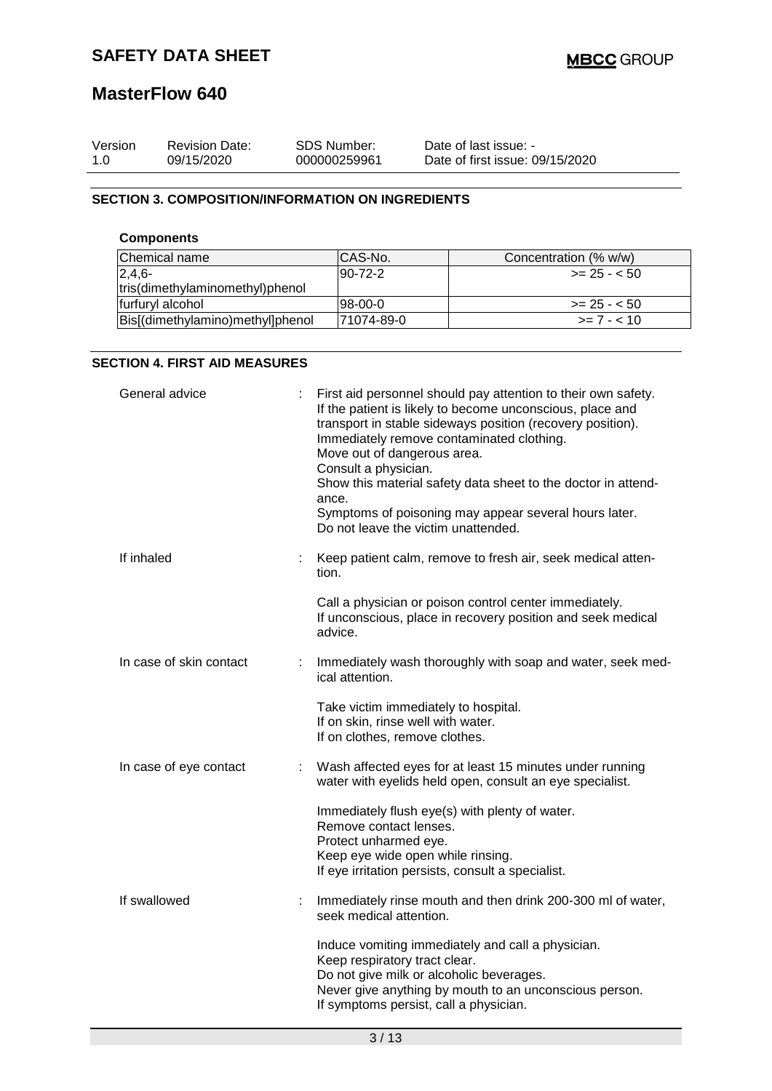| Version | <b>Revision Date:</b> | SDS Number:  | Date of last issue: -           |
|---------|-----------------------|--------------|---------------------------------|
| 1.0     | 09/15/2020            | 000000259961 | Date of first issue: 09/15/2020 |

## **SECTION 3. COMPOSITION/INFORMATION ON INGREDIENTS**

## **Components**

| Chemical name                    | CAS-No.        | Concentration (% w/w) |
|----------------------------------|----------------|-----------------------|
| $2,4,6-$                         | $190 - 72 - 2$ | $>= 25 - 50$          |
| tris(dimethylaminomethyl)phenol  |                |                       |
| furfuryl alcohol                 | $98-00-0$      | $>= 25 - 50$          |
| Bis[(dimethylamino)methyl]phenol | 171074-89-0    | $\ge$ = 7 - < 10      |

## **SECTION 4. FIRST AID MEASURES**

| General advice          |    | First aid personnel should pay attention to their own safety.<br>If the patient is likely to become unconscious, place and<br>transport in stable sideways position (recovery position).<br>Immediately remove contaminated clothing.<br>Move out of dangerous area.<br>Consult a physician.<br>Show this material safety data sheet to the doctor in attend-<br>ance.<br>Symptoms of poisoning may appear several hours later.<br>Do not leave the victim unattended. |
|-------------------------|----|------------------------------------------------------------------------------------------------------------------------------------------------------------------------------------------------------------------------------------------------------------------------------------------------------------------------------------------------------------------------------------------------------------------------------------------------------------------------|
| If inhaled              |    | Keep patient calm, remove to fresh air, seek medical atten-<br>tion.                                                                                                                                                                                                                                                                                                                                                                                                   |
|                         |    | Call a physician or poison control center immediately.<br>If unconscious, place in recovery position and seek medical<br>advice.                                                                                                                                                                                                                                                                                                                                       |
| In case of skin contact | ÷. | Immediately wash thoroughly with soap and water, seek med-<br>ical attention.                                                                                                                                                                                                                                                                                                                                                                                          |
|                         |    | Take victim immediately to hospital.<br>If on skin, rinse well with water.<br>If on clothes, remove clothes.                                                                                                                                                                                                                                                                                                                                                           |
| In case of eye contact  | ÷  | Wash affected eyes for at least 15 minutes under running<br>water with eyelids held open, consult an eye specialist.                                                                                                                                                                                                                                                                                                                                                   |
|                         |    | Immediately flush eye(s) with plenty of water.<br>Remove contact lenses.<br>Protect unharmed eye.<br>Keep eye wide open while rinsing.<br>If eye irritation persists, consult a specialist.                                                                                                                                                                                                                                                                            |
| If swallowed            |    | Immediately rinse mouth and then drink 200-300 ml of water,<br>seek medical attention.                                                                                                                                                                                                                                                                                                                                                                                 |
|                         |    | Induce vomiting immediately and call a physician.<br>Keep respiratory tract clear.<br>Do not give milk or alcoholic beverages.<br>Never give anything by mouth to an unconscious person.<br>If symptoms persist, call a physician.                                                                                                                                                                                                                                     |
|                         |    |                                                                                                                                                                                                                                                                                                                                                                                                                                                                        |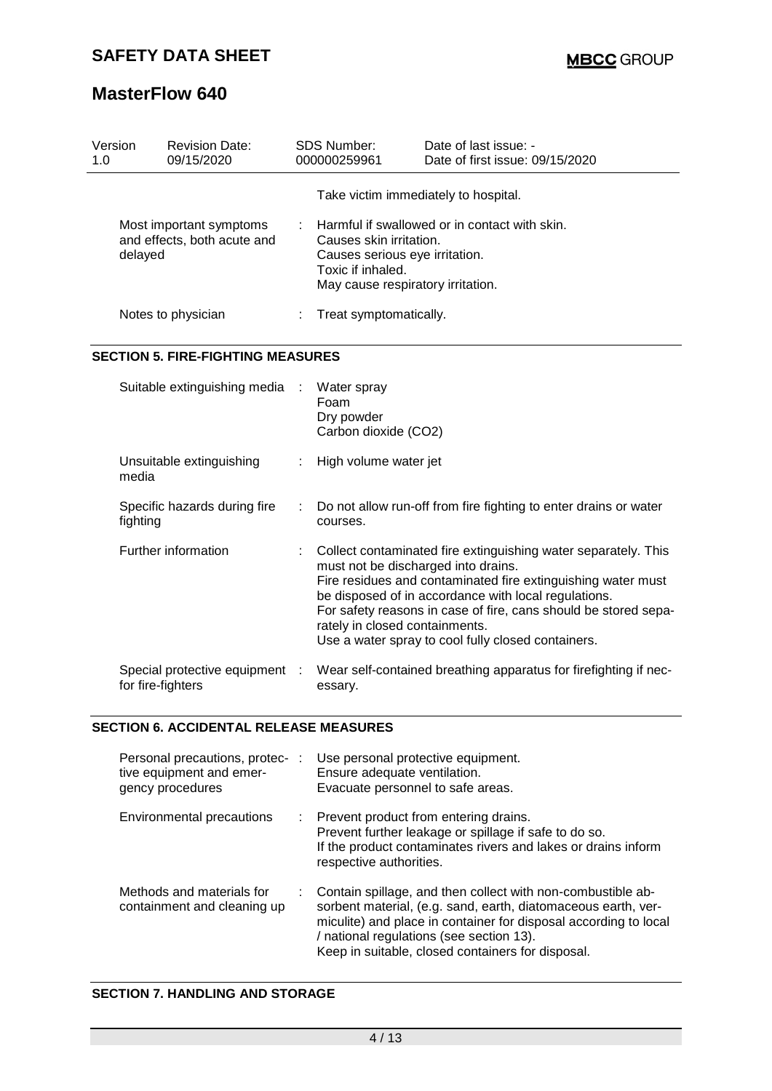| Version<br>1.0 | <b>Revision Date:</b><br>09/15/2020                                                                      |  | <b>SDS Number:</b><br>000000259961                                                                                                                                   | Date of last issue: -<br>Date of first issue: 09/15/2020                                                                                                                                                                                                                                                                                               |
|----------------|----------------------------------------------------------------------------------------------------------|--|----------------------------------------------------------------------------------------------------------------------------------------------------------------------|--------------------------------------------------------------------------------------------------------------------------------------------------------------------------------------------------------------------------------------------------------------------------------------------------------------------------------------------------------|
|                |                                                                                                          |  |                                                                                                                                                                      | Take victim immediately to hospital.                                                                                                                                                                                                                                                                                                                   |
|                | Most important symptoms<br>and effects, both acute and<br>delayed                                        |  | Harmful if swallowed or in contact with skin.<br>Causes skin irritation.<br>Causes serious eye irritation.<br>Toxic if inhaled.<br>May cause respiratory irritation. |                                                                                                                                                                                                                                                                                                                                                        |
|                | Notes to physician                                                                                       |  | Treat symptomatically.                                                                                                                                               |                                                                                                                                                                                                                                                                                                                                                        |
|                | <b>SECTION 5. FIRE-FIGHTING MEASURES</b>                                                                 |  |                                                                                                                                                                      |                                                                                                                                                                                                                                                                                                                                                        |
|                | Suitable extinguishing media                                                                             |  | Water spray<br>Foam<br>Dry powder<br>Carbon dioxide (CO2)                                                                                                            |                                                                                                                                                                                                                                                                                                                                                        |
|                | Unsuitable extinguishing<br>media                                                                        |  | High volume water jet                                                                                                                                                |                                                                                                                                                                                                                                                                                                                                                        |
|                | Specific hazards during fire<br>fighting                                                                 |  | courses.                                                                                                                                                             | Do not allow run-off from fire fighting to enter drains or water                                                                                                                                                                                                                                                                                       |
|                | Further information                                                                                      |  | rately in closed containments.                                                                                                                                       | Collect contaminated fire extinguishing water separately. This<br>must not be discharged into drains.<br>Fire residues and contaminated fire extinguishing water must<br>be disposed of in accordance with local regulations.<br>For safety reasons in case of fire, cans should be stored sepa-<br>Use a water spray to cool fully closed containers. |
|                | Special protective equipment :<br>for fire-fighters                                                      |  | essary.                                                                                                                                                              | Wear self-contained breathing apparatus for firefighting if nec-                                                                                                                                                                                                                                                                                       |
|                | <b>SECTION 6. ACCIDENTAL RELEASE MEASURES</b>                                                            |  |                                                                                                                                                                      |                                                                                                                                                                                                                                                                                                                                                        |
|                | Personal precautions, protec- : Use personal protective equipment.<br>$f_{\text{max}}$ caughter and omer |  | Engura adaquata vantilation                                                                                                                                          |                                                                                                                                                                                                                                                                                                                                                        |

| tive equipment and emer-<br>gency procedures             | Ensure adequate ventilation.<br>Evacuate personnel to safe areas.                                                                                                                                                                                                                                 |
|----------------------------------------------------------|---------------------------------------------------------------------------------------------------------------------------------------------------------------------------------------------------------------------------------------------------------------------------------------------------|
| Environmental precautions                                | : Prevent product from entering drains.<br>Prevent further leakage or spillage if safe to do so.<br>If the product contaminates rivers and lakes or drains inform<br>respective authorities.                                                                                                      |
| Methods and materials for<br>containment and cleaning up | Contain spillage, and then collect with non-combustible ab-<br>sorbent material, (e.g. sand, earth, diatomaceous earth, ver-<br>miculite) and place in container for disposal according to local<br>/ national regulations (see section 13).<br>Keep in suitable, closed containers for disposal. |

## **SECTION 7. HANDLING AND STORAGE**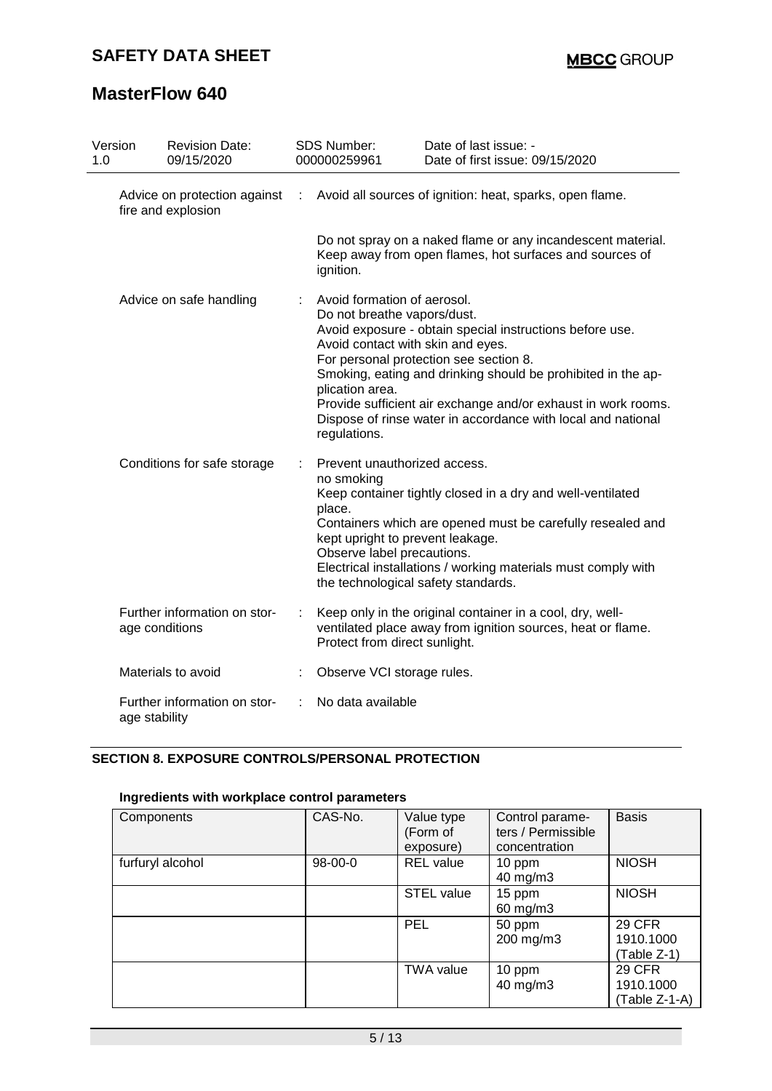| Version<br>1.0 | <b>Revision Date:</b><br>09/15/2020                |  | <b>SDS Number:</b><br>000000259961                                                                                                                            | Date of last issue: -<br>Date of first issue: 09/15/2020                                                                                                                                                                                                                                            |  |  |  |  |  |
|----------------|----------------------------------------------------|--|---------------------------------------------------------------------------------------------------------------------------------------------------------------|-----------------------------------------------------------------------------------------------------------------------------------------------------------------------------------------------------------------------------------------------------------------------------------------------------|--|--|--|--|--|
|                | Advice on protection against<br>fire and explosion |  | Avoid all sources of ignition: heat, sparks, open flame.<br>÷                                                                                                 |                                                                                                                                                                                                                                                                                                     |  |  |  |  |  |
|                |                                                    |  | Do not spray on a naked flame or any incandescent material.<br>Keep away from open flames, hot surfaces and sources of<br>ignition.                           |                                                                                                                                                                                                                                                                                                     |  |  |  |  |  |
|                | Advice on safe handling                            |  | Avoid formation of aerosol.<br>Do not breathe vapors/dust.<br>Avoid contact with skin and eyes.<br>plication area.<br>regulations.                            | Avoid exposure - obtain special instructions before use.<br>For personal protection see section 8.<br>Smoking, eating and drinking should be prohibited in the ap-<br>Provide sufficient air exchange and/or exhaust in work rooms.<br>Dispose of rinse water in accordance with local and national |  |  |  |  |  |
|                | Conditions for safe storage                        |  | Prevent unauthorized access.<br>no smoking<br>place.<br>kept upright to prevent leakage.<br>Observe label precautions.<br>the technological safety standards. | Keep container tightly closed in a dry and well-ventilated<br>Containers which are opened must be carefully resealed and<br>Electrical installations / working materials must comply with                                                                                                           |  |  |  |  |  |
|                | Further information on stor-<br>age conditions     |  | Protect from direct sunlight.                                                                                                                                 | Keep only in the original container in a cool, dry, well-<br>ventilated place away from ignition sources, heat or flame.                                                                                                                                                                            |  |  |  |  |  |
|                | Materials to avoid                                 |  | Observe VCI storage rules.                                                                                                                                    |                                                                                                                                                                                                                                                                                                     |  |  |  |  |  |
|                | Further information on stor-<br>age stability      |  | No data available                                                                                                                                             |                                                                                                                                                                                                                                                                                                     |  |  |  |  |  |

## **SECTION 8. EXPOSURE CONTROLS/PERSONAL PROTECTION**

## **Ingredients with workplace control parameters**

| Components       | CAS-No. | Value type<br>(Form of<br>exposure) | Control parame-<br>ters / Permissible<br>concentration | <b>Basis</b>                                |
|------------------|---------|-------------------------------------|--------------------------------------------------------|---------------------------------------------|
| furfuryl alcohol | 98-00-0 | <b>REL</b> value                    | 10 ppm<br>40 mg/m3                                     | <b>NIOSH</b>                                |
|                  |         | <b>STEL value</b>                   | 15 ppm<br>60 mg/m3                                     | <b>NIOSH</b>                                |
|                  |         | <b>PEL</b>                          | 50 ppm<br>200 mg/m3                                    | <b>29 CFR</b><br>1910.1000<br>(Table Z-1)   |
|                  |         | <b>TWA value</b>                    | 10 ppm<br>40 mg/m3                                     | <b>29 CFR</b><br>1910.1000<br>(Table Z-1-A) |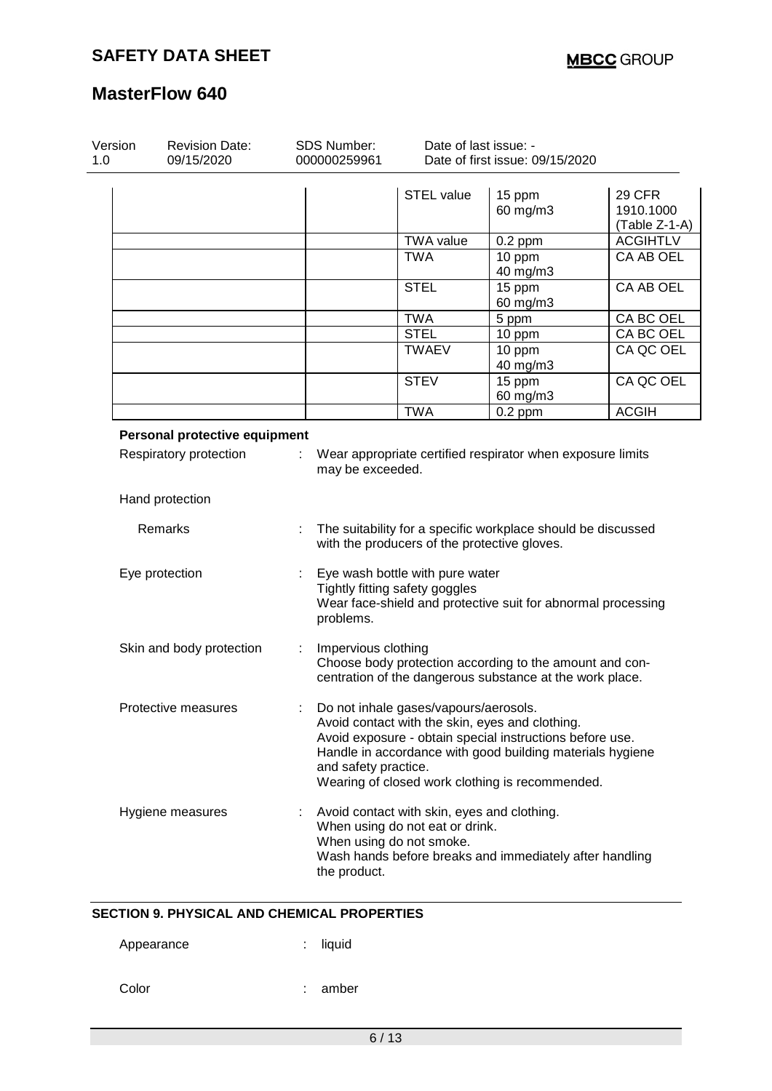| Version<br>1.0 | <b>Revision Date:</b><br>09/15/2020       |   | <b>SDS Number:</b><br>000000259961 | Date of last issue: -<br>Date of first issue: 09/15/2020                                                   |                                                                                                                                                                                                                             |                                               |  |
|----------------|-------------------------------------------|---|------------------------------------|------------------------------------------------------------------------------------------------------------|-----------------------------------------------------------------------------------------------------------------------------------------------------------------------------------------------------------------------------|-----------------------------------------------|--|
|                |                                           |   |                                    | <b>STEL value</b>                                                                                          | 15 ppm<br>60 mg/m3                                                                                                                                                                                                          | <b>29 CFR</b><br>1910.1000<br>$(Table Z-1-A)$ |  |
|                |                                           |   |                                    | <b>TWA value</b>                                                                                           | $0.2$ ppm                                                                                                                                                                                                                   | <b>ACGIHTLV</b>                               |  |
|                |                                           |   |                                    | <b>TWA</b>                                                                                                 | 10 ppm<br>40 mg/m3                                                                                                                                                                                                          | CA AB OEL                                     |  |
|                |                                           |   |                                    | <b>STEL</b>                                                                                                | 15 ppm<br>60 mg/m3                                                                                                                                                                                                          | <b>CA AB OEL</b>                              |  |
|                |                                           |   |                                    | <b>TWA</b>                                                                                                 | 5 ppm                                                                                                                                                                                                                       | CA BC OEL                                     |  |
|                |                                           |   |                                    | <b>STEL</b>                                                                                                | 10 ppm                                                                                                                                                                                                                      | CA BC OEL                                     |  |
|                |                                           |   |                                    | <b>TWAEV</b>                                                                                               | 10 ppm<br>40 mg/m3                                                                                                                                                                                                          | CA QC OEL                                     |  |
|                |                                           |   |                                    | <b>STEV</b>                                                                                                | 15 ppm<br>60 mg/m3                                                                                                                                                                                                          | CA QC OEL                                     |  |
|                |                                           |   |                                    | <b>TWA</b>                                                                                                 | $0.2$ ppm                                                                                                                                                                                                                   | <b>ACGIH</b>                                  |  |
|                | Respiratory protection<br>Hand protection |   | may be exceeded.                   |                                                                                                            | Wear appropriate certified respirator when exposure limits                                                                                                                                                                  |                                               |  |
|                | Remarks                                   |   |                                    | with the producers of the protective gloves.                                                               | The suitability for a specific workplace should be discussed                                                                                                                                                                |                                               |  |
|                | Eye protection                            |   | problems.                          | Eye wash bottle with pure water<br>Tightly fitting safety goggles                                          | Wear face-shield and protective suit for abnormal processing                                                                                                                                                                |                                               |  |
|                | Skin and body protection                  | ÷ | Impervious clothing                |                                                                                                            | Choose body protection according to the amount and con-<br>centration of the dangerous substance at the work place.                                                                                                         |                                               |  |
|                | Protective measures                       |   | and safety practice.               | Do not inhale gases/vapours/aerosols.                                                                      | Avoid contact with the skin, eyes and clothing.<br>Avoid exposure - obtain special instructions before use.<br>Handle in accordance with good building materials hygiene<br>Wearing of closed work clothing is recommended. |                                               |  |
|                | Hygiene measures                          |   | the product.                       | Avoid contact with skin, eyes and clothing.<br>When using do not eat or drink.<br>When using do not smoke. | Wash hands before breaks and immediately after handling                                                                                                                                                                     |                                               |  |

### **SECTION 9. PHYSICAL AND CHEMICAL PROPERTIES**

| Appearance |  | liquid |
|------------|--|--------|
|------------|--|--------|

Color : amber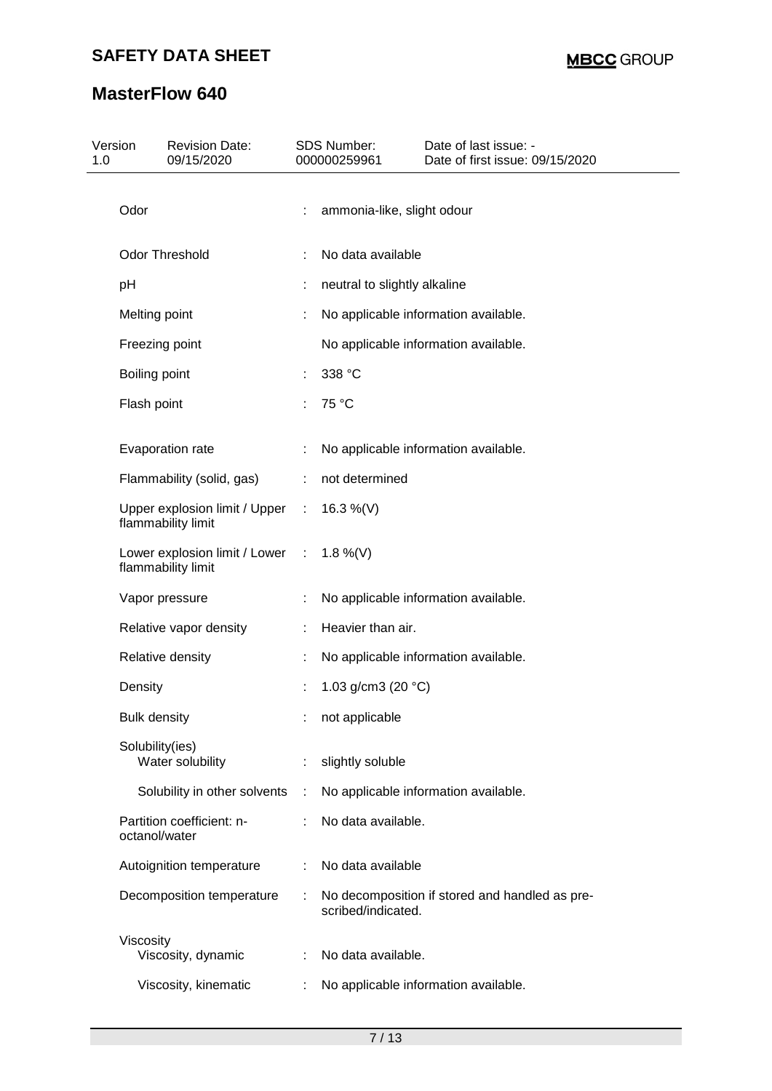| 1.0 | Version<br><b>Revision Date:</b><br>09/15/2020        |   | SDS Number:<br>000000259961  | Date of last issue: -<br>Date of first issue: 09/15/2020 |
|-----|-------------------------------------------------------|---|------------------------------|----------------------------------------------------------|
|     | Odor                                                  |   | ammonia-like, slight odour   |                                                          |
|     | Odor Threshold                                        |   | No data available            |                                                          |
|     | pH                                                    |   | neutral to slightly alkaline |                                                          |
|     | Melting point                                         |   |                              | No applicable information available.                     |
|     | Freezing point                                        |   |                              | No applicable information available.                     |
|     | Boiling point                                         |   | 338 °C                       |                                                          |
|     | Flash point                                           |   | 75 °C                        |                                                          |
|     | Evaporation rate                                      |   |                              | No applicable information available.                     |
|     | Flammability (solid, gas)                             | ÷ | not determined               |                                                          |
|     | Upper explosion limit / Upper :<br>flammability limit |   | 16.3 %(V)                    |                                                          |
|     | Lower explosion limit / Lower :<br>flammability limit |   | 1.8 %(V)                     |                                                          |
|     | Vapor pressure                                        |   |                              | No applicable information available.                     |
|     | Relative vapor density                                |   | Heavier than air.            |                                                          |
|     | Relative density                                      |   |                              | No applicable information available.                     |
|     | Density                                               |   | 1.03 g/cm3 (20 $°C$ )        |                                                          |
|     | <b>Bulk density</b>                                   |   | not applicable               |                                                          |
|     | Solubility(ies)<br>Water solubility                   |   | slightly soluble             |                                                          |
|     | Solubility in other solvents                          | ÷ |                              | No applicable information available.                     |
|     | Partition coefficient: n-<br>octanol/water            |   | No data available.           |                                                          |
|     | Autoignition temperature                              |   | No data available            |                                                          |
|     | Decomposition temperature                             |   | scribed/indicated.           | No decomposition if stored and handled as pre-           |
|     | Viscosity                                             |   | No data available.           |                                                          |
|     | Viscosity, dynamic                                    |   |                              |                                                          |
|     | Viscosity, kinematic                                  |   |                              | No applicable information available.                     |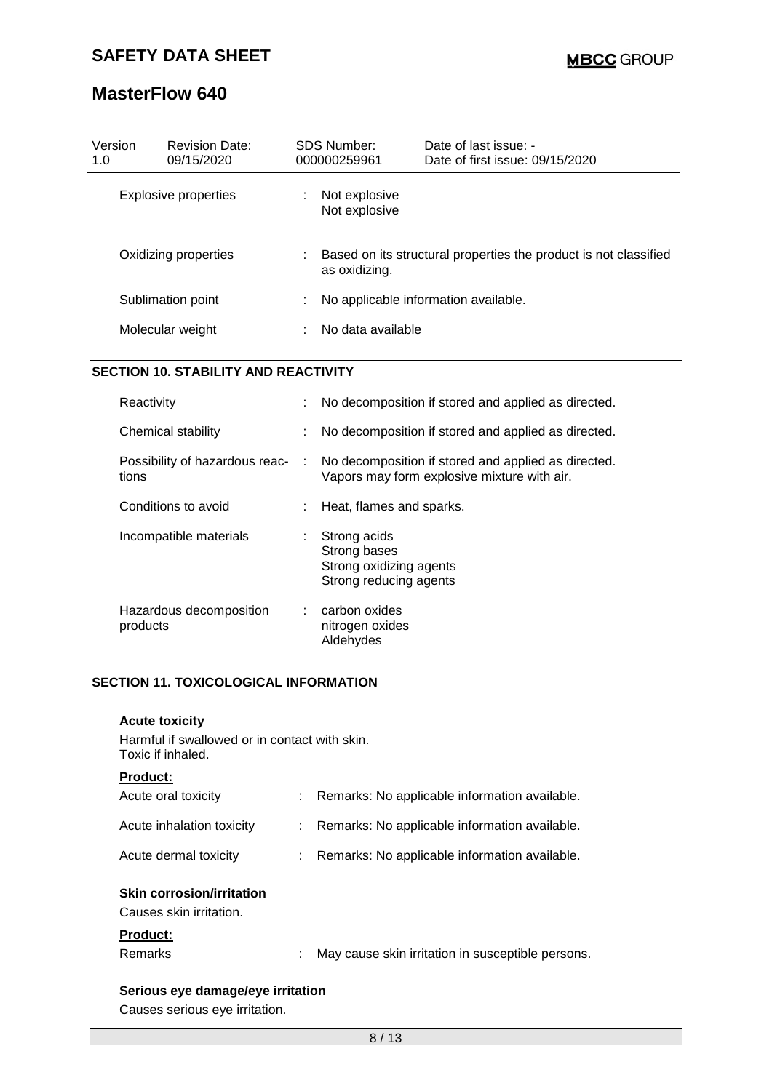| Version<br>1.0 | <b>Revision Date:</b><br>09/15/2020 |    | SDS Number:<br>000000259961    | Date of last issue: -<br>Date of first issue: $09/15/2020$       |
|----------------|-------------------------------------|----|--------------------------------|------------------------------------------------------------------|
|                | Explosive properties                | ÷  | Not explosive<br>Not explosive |                                                                  |
|                | Oxidizing properties                | ÷. | as oxidizing.                  | Based on its structural properties the product is not classified |
|                | Sublimation point                   | ÷. |                                | No applicable information available.                             |
|                | Molecular weight                    |    | No data available              |                                                                  |

## **SECTION 10. STABILITY AND REACTIVITY**

| Reactivity                              |        | No decomposition if stored and applied as directed.                                                |
|-----------------------------------------|--------|----------------------------------------------------------------------------------------------------|
| Chemical stability                      |        | No decomposition if stored and applied as directed.                                                |
| Possibility of hazardous reac-<br>tions | $\sim$ | No decomposition if stored and applied as directed.<br>Vapors may form explosive mixture with air. |
| Conditions to avoid                     |        | Heat, flames and sparks.                                                                           |
| Incompatible materials                  | ÷.     | Strong acids<br>Strong bases<br>Strong oxidizing agents<br>Strong reducing agents                  |
| Hazardous decomposition<br>products     |        | carbon oxides<br>nitrogen oxides<br>Aldehydes                                                      |

## **SECTION 11. TOXICOLOGICAL INFORMATION**

| <b>Acute toxicity</b>                                              |                                                   |
|--------------------------------------------------------------------|---------------------------------------------------|
| Harmful if swallowed or in contact with skin.<br>Toxic if inhaled. |                                                   |
| <b>Product:</b>                                                    |                                                   |
| Acute oral toxicity                                                | Remarks: No applicable information available.     |
| Acute inhalation toxicity                                          | Remarks: No applicable information available.     |
| Acute dermal toxicity                                              | Remarks: No applicable information available.     |
| <b>Skin corrosion/irritation</b><br>Causes skin irritation.        |                                                   |
| <b>Product:</b>                                                    |                                                   |
| Remarks                                                            | May cause skin irritation in susceptible persons. |
|                                                                    |                                                   |

# **Serious eye damage/eye irritation**

Causes serious eye irritation.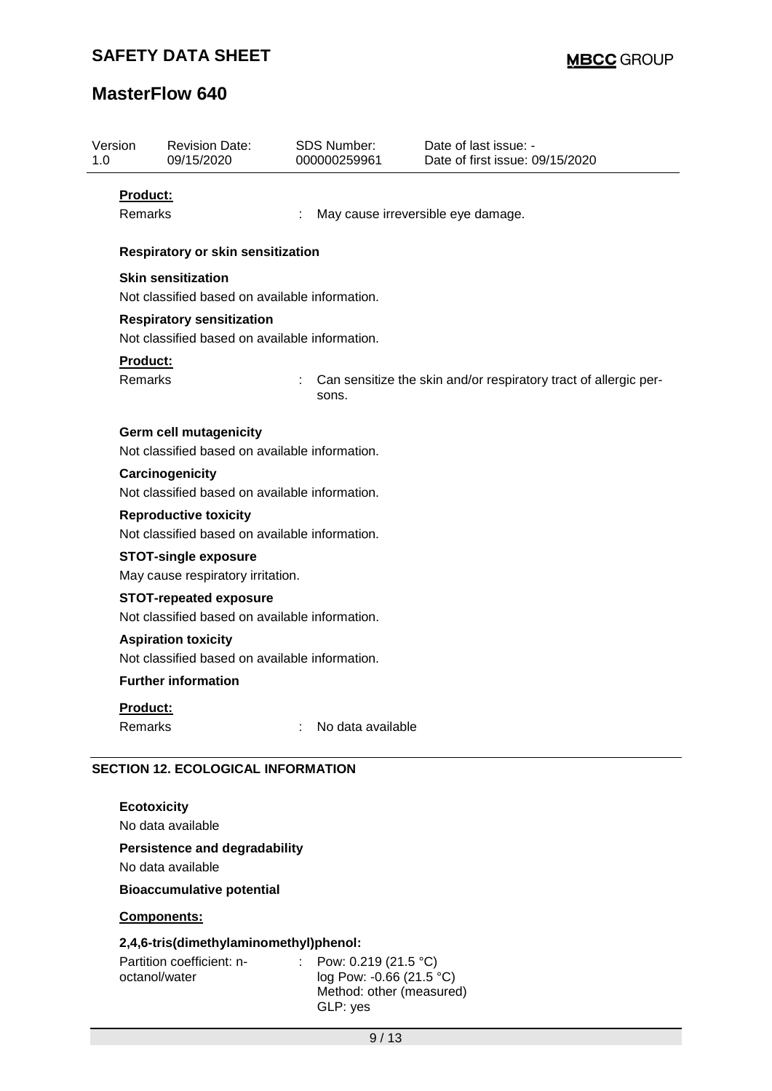| 1.0                                                                                                                                                 | Version                    | <b>Revision Date:</b><br>09/15/2020                                             |  | <b>SDS Number:</b><br>000000259961 | Date of last issue: -<br>Date of first issue: 09/15/2020         |  |  |  |  |  |
|-----------------------------------------------------------------------------------------------------------------------------------------------------|----------------------------|---------------------------------------------------------------------------------|--|------------------------------------|------------------------------------------------------------------|--|--|--|--|--|
|                                                                                                                                                     | <b>Product:</b><br>Remarks |                                                                                 |  |                                    | May cause irreversible eye damage.                               |  |  |  |  |  |
|                                                                                                                                                     |                            | Respiratory or skin sensitization                                               |  |                                    |                                                                  |  |  |  |  |  |
|                                                                                                                                                     |                            | <b>Skin sensitization</b>                                                       |  |                                    |                                                                  |  |  |  |  |  |
| Not classified based on available information.                                                                                                      |                            |                                                                                 |  |                                    |                                                                  |  |  |  |  |  |
|                                                                                                                                                     |                            |                                                                                 |  |                                    |                                                                  |  |  |  |  |  |
|                                                                                                                                                     |                            | Not classified based on available information.                                  |  |                                    |                                                                  |  |  |  |  |  |
|                                                                                                                                                     | Product:<br>Remarks        |                                                                                 |  | sons.                              | Can sensitize the skin and/or respiratory tract of allergic per- |  |  |  |  |  |
|                                                                                                                                                     |                            | <b>Germ cell mutagenicity</b><br>Not classified based on available information. |  |                                    |                                                                  |  |  |  |  |  |
| Carcinogenicity<br>Not classified based on available information.                                                                                   |                            |                                                                                 |  |                                    |                                                                  |  |  |  |  |  |
|                                                                                                                                                     |                            |                                                                                 |  |                                    |                                                                  |  |  |  |  |  |
| <b>STOT-single exposure</b><br>May cause respiratory irritation.<br><b>STOT-repeated exposure</b><br>Not classified based on available information. |                            |                                                                                 |  |                                    |                                                                  |  |  |  |  |  |
|                                                                                                                                                     |                            |                                                                                 |  |                                    |                                                                  |  |  |  |  |  |
|                                                                                                                                                     |                            | <b>Aspiration toxicity</b>                                                      |  |                                    |                                                                  |  |  |  |  |  |
|                                                                                                                                                     |                            | Not classified based on available information.                                  |  |                                    |                                                                  |  |  |  |  |  |
|                                                                                                                                                     |                            | <b>Further information</b>                                                      |  |                                    |                                                                  |  |  |  |  |  |
|                                                                                                                                                     | Product:                   |                                                                                 |  |                                    |                                                                  |  |  |  |  |  |
|                                                                                                                                                     | Remarks                    |                                                                                 |  | No data available                  |                                                                  |  |  |  |  |  |
| <b>SECTION 12. ECOLOGICAL INFORMATION</b>                                                                                                           |                            |                                                                                 |  |                                    |                                                                  |  |  |  |  |  |
|                                                                                                                                                     | <b>Ecotoxicity</b>         |                                                                                 |  |                                    |                                                                  |  |  |  |  |  |
|                                                                                                                                                     |                            | No data available                                                               |  |                                    |                                                                  |  |  |  |  |  |
| <b>Persistence and degradability</b><br>No data available                                                                                           |                            |                                                                                 |  |                                    |                                                                  |  |  |  |  |  |

## **Bioaccumulative potential**

## **Components:**

## **2,4,6-tris(dimethylaminomethyl)phenol:**

| Partition coefficient: n- | : Pow: $0.219(21.5 °C)$            |
|---------------------------|------------------------------------|
| octanol/water             | log Pow: -0.66 (21.5 $^{\circ}$ C) |
|                           | Method: other (measured)           |
|                           | GLP: yes                           |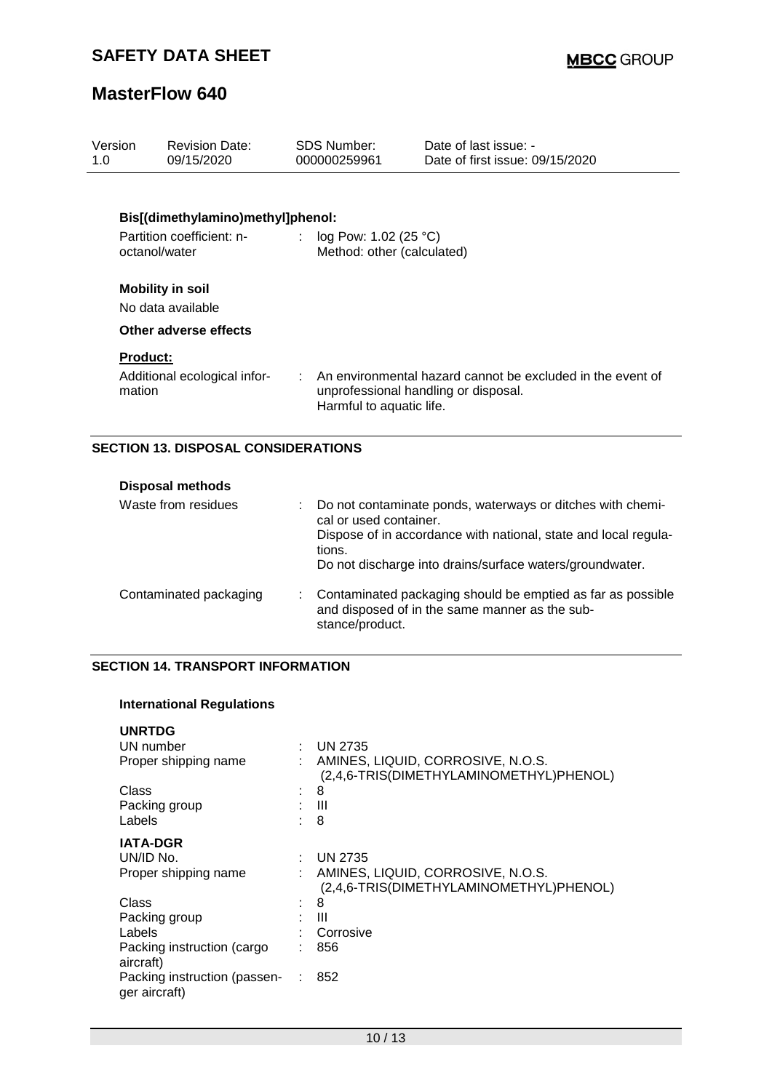| Version<br>1.0            | <b>Revision Date:</b><br>09/15/2020                            |    | SDS Number:<br>000000259961     | Date of last issue: -<br>Date of first issue: 09/15/2020                                           |
|---------------------------|----------------------------------------------------------------|----|---------------------------------|----------------------------------------------------------------------------------------------------|
|                           | Bis[(dimethylamino)methyl]phenol:<br>Partition coefficient: n- | ÷. | log Pow: 1.02 (25 $^{\circ}$ C) |                                                                                                    |
|                           | octanol/water<br><b>Mobility in soil</b>                       |    | Method: other (calculated)      |                                                                                                    |
|                           | No data available<br>Other adverse effects                     |    |                                 |                                                                                                    |
| <b>Product:</b><br>mation | Additional ecological infor-                                   |    | Harmful to aquatic life.        | An environmental hazard cannot be excluded in the event of<br>unprofessional handling or disposal. |

## **SECTION 13. DISPOSAL CONSIDERATIONS**

| <b>Disposal methods</b> |  |                                                                                                                                                                                                                               |
|-------------------------|--|-------------------------------------------------------------------------------------------------------------------------------------------------------------------------------------------------------------------------------|
| Waste from residues     |  | Do not contaminate ponds, waterways or ditches with chemi-<br>cal or used container.<br>Dispose of in accordance with national, state and local regula-<br>tions.<br>Do not discharge into drains/surface waters/groundwater. |
| Contaminated packaging  |  | Contaminated packaging should be emptied as far as possible<br>and disposed of in the same manner as the sub-<br>stance/product.                                                                                              |

### **SECTION 14. TRANSPORT INFORMATION**

## **International Regulations**

| <b>UNRTDG</b>                                 |    |                                                                              |
|-----------------------------------------------|----|------------------------------------------------------------------------------|
| UN number                                     |    | <b>UN 2735</b>                                                               |
| Proper shipping name                          |    | AMINES, LIQUID, CORROSIVE, N.O.S.<br>(2,4,6-TRIS(DIMETHYLAMINOMETHYL)PHENOL) |
| Class                                         | ٠. | 8                                                                            |
| Packing group                                 |    | Ш                                                                            |
| Labels                                        |    | 8                                                                            |
| <b>IATA-DGR</b>                               |    |                                                                              |
| UN/ID No.                                     |    | <b>UN 2735</b>                                                               |
| Proper shipping name                          |    | AMINES, LIQUID, CORROSIVE, N.O.S.<br>(2,4,6-TRIS(DIMETHYLAMINOMETHYL)PHENOL) |
| Class                                         |    | 8                                                                            |
| Packing group                                 |    | Ш                                                                            |
| Labels                                        |    | Corrosive                                                                    |
| Packing instruction (cargo<br>aircraft)       |    | 856                                                                          |
| Packing instruction (passen-<br>ger aircraft) |    | 852                                                                          |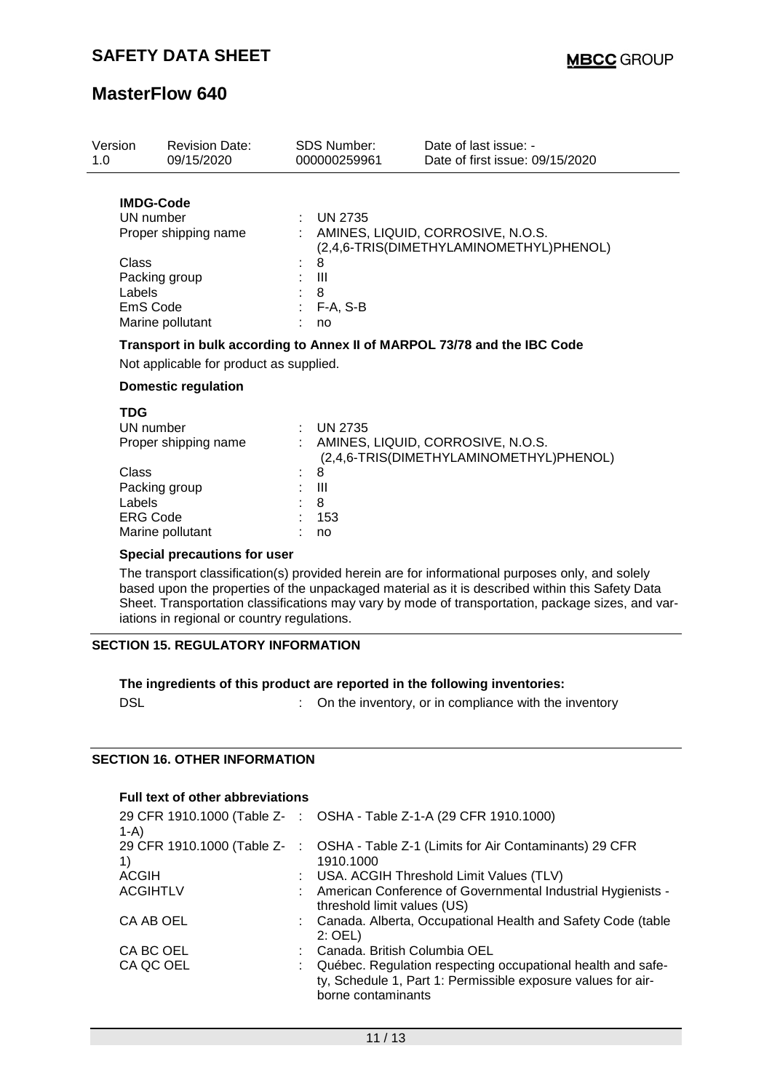| Version<br>1.0                                                                | <b>Revision Date:</b><br>09/15/2020      | <b>SDS Number:</b><br>000000259961             | Date of last issue: -<br>Date of first issue: 09/15/2020                     |
|-------------------------------------------------------------------------------|------------------------------------------|------------------------------------------------|------------------------------------------------------------------------------|
| <b>IMDG-Code</b><br>UN number<br>Class<br>Packing group<br>Labels<br>EmS Code | Proper shipping name<br>Marine pollutant | $:$ UN 2735<br>8<br>Ш<br>8<br>$F-A, S-B$<br>no | AMINES, LIQUID, CORROSIVE, N.O.S.<br>(2,4,6-TRIS(DIMETHYLAMINOMETHYL)PHENOL) |
|                                                                               | Not applicable for product as supplied.  |                                                | Transport in bulk according to Annex II of MARPOL 73/78 and the IBC Code     |
|                                                                               | <b>Domestic regulation</b>               |                                                |                                                                              |
| <b>TDG</b><br>UN number                                                       | Proper shipping name                     | : UN 2735                                      | AMINES, LIQUID, CORROSIVE, N.O.S.<br>(2,4,6-TRIS(DIMETHYLAMINOMETHYL)PHENOL) |
| Class<br>Packing group<br>Labels<br><b>ERG Code</b>                           | Marine pollutant                         | 8<br>Ш<br>8<br>153<br>no                       |                                                                              |

### **Special precautions for user**

Marine pollutant

The transport classification(s) provided herein are for informational purposes only, and solely based upon the properties of the unpackaged material as it is described within this Safety Data Sheet. Transportation classifications may vary by mode of transportation, package sizes, and variations in regional or country regulations.

## **SECTION 15. REGULATORY INFORMATION**

### **The ingredients of this product are reported in the following inventories:**

DSL **DISL DISL COMPONE 1 COMPONE 1 COMPONE 1 COMPONE 1 COMPONE 1 COMPONE 1 COMPONE 1 COMPONE 1 COMPONE 1 COMPONE 1 COMPONE 1 COMPONE 1 COMPONE 1 COMPONE 1 COMPONE 1 COMPONE 1 COMPONE 1**

### **SECTION 16. OTHER INFORMATION**

## **Full text of other abbreviations**

| $1-A$           | 29 CFR 1910.1000 (Table Z- : OSHA - Table Z-1-A (29 CFR 1910.1000)                                                                                |
|-----------------|---------------------------------------------------------------------------------------------------------------------------------------------------|
| 1)              | 29 CFR 1910.1000 (Table Z-: OSHA - Table Z-1 (Limits for Air Contaminants) 29 CFR<br>1910.1000                                                    |
| ACGIH           | : USA. ACGIH Threshold Limit Values (TLV)                                                                                                         |
| <b>ACGIHTLV</b> | : American Conference of Governmental Industrial Hygienists -<br>threshold limit values (US)                                                      |
| CA AB OEL       | : Canada. Alberta, Occupational Health and Safety Code (table<br>$2:$ OEL)                                                                        |
| CA BC OEL       | Canada, British Columbia OEL                                                                                                                      |
| CA QC OEL       | Québec. Regulation respecting occupational health and safe-<br>ty, Schedule 1, Part 1: Permissible exposure values for air-<br>borne contaminants |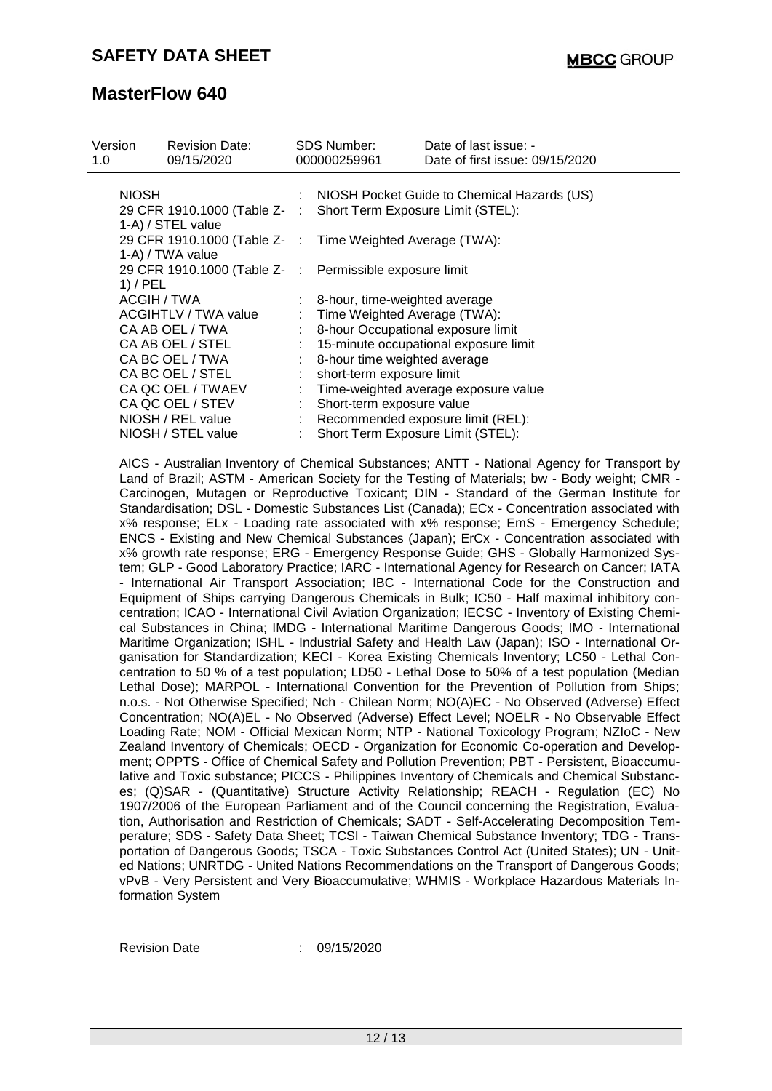| Version |                             | <b>Revision Date:</b>                                          |                  | <b>SDS Number:</b>                 | Date of last issue: -                                                                         |  |
|---------|-----------------------------|----------------------------------------------------------------|------------------|------------------------------------|-----------------------------------------------------------------------------------------------|--|
| 1.0     |                             | 09/15/2020                                                     |                  | 000000259961                       | Date of first issue: 09/15/2020                                                               |  |
|         |                             |                                                                |                  |                                    |                                                                                               |  |
|         | <b>NIOSH</b>                |                                                                |                  |                                    | : NIOSH Pocket Guide to Chemical Hazards (US)                                                 |  |
|         |                             | 29 CFR 1910.1000 (Table Z- : Short Term Exposure Limit (STEL): |                  |                                    |                                                                                               |  |
|         |                             | 1-A) / STEL value                                              |                  |                                    |                                                                                               |  |
|         |                             | 29 CFR 1910.1000 (Table Z- : Time Weighted Average (TWA):      |                  |                                    |                                                                                               |  |
|         |                             | 1-A) / TWA value                                               |                  |                                    |                                                                                               |  |
|         |                             | 29 CFR 1910.1000 (Table Z- :                                   |                  | Permissible exposure limit         |                                                                                               |  |
|         | $1)$ / PEL                  |                                                                |                  |                                    |                                                                                               |  |
|         | ACGIH / TWA                 |                                                                |                  | 8-hour, time-weighted average      |                                                                                               |  |
|         | <b>ACGIHTLV / TWA value</b> |                                                                |                  | : Time Weighted Average (TWA):     |                                                                                               |  |
|         | CA AB OEL / TWA             |                                                                |                  | 8-hour Occupational exposure limit |                                                                                               |  |
|         |                             | CA AB OEL / STEL                                               |                  |                                    | 15-minute occupational exposure limit                                                         |  |
|         |                             | CA BC OEL / TWA                                                |                  | 8-hour time weighted average       |                                                                                               |  |
|         |                             | CA BC OEL / STEL                                               |                  | short-term exposure limit          |                                                                                               |  |
|         |                             | CA QC OEL / TWAEV                                              |                  |                                    | : Time-weighted average exposure value                                                        |  |
|         |                             | CA QC OEL / STEV                                               | $\mathbb{Z}^n$ . | Short-term exposure value          |                                                                                               |  |
|         |                             | NIOSH / REL value                                              |                  |                                    | Recommended exposure limit (REL):                                                             |  |
|         |                             | NIOSH / STEL value                                             |                  | Short Term Exposure Limit (STEL):  |                                                                                               |  |
|         |                             |                                                                |                  |                                    |                                                                                               |  |
|         |                             |                                                                |                  |                                    | AICS - Australian Inventory of Chemical Substances; ANTT - National Agency for Transport by   |  |
|         |                             |                                                                |                  |                                    | Land of Brazil; ASTM - American Society for the Testing of Materials; bw - Body weight; CMR - |  |
|         |                             |                                                                |                  |                                    | Carcinogen, Mutagen or Reproductive Toxicant; DIN - Standard of the German Institute for      |  |
|         |                             |                                                                |                  |                                    | Standardisation; DSL - Domestic Substances List (Canada); ECx - Concentration associated with |  |
|         |                             |                                                                |                  |                                    | $100 \pm 0.0$                                                                                 |  |

Carcinogen, Mutagen or Reproductive Toxicant; DIN - Standard of the German Institute for Standardisation; DSL - Domestic Substances List (Canada); ECx - Concentration associated with x% response; ELx - Loading rate associated with x% response; EmS - Emergency Schedule; ENCS - Existing and New Chemical Substances (Japan); ErCx - Concentration associated with x% growth rate response; ERG - Emergency Response Guide; GHS - Globally Harmonized System; GLP - Good Laboratory Practice; IARC - International Agency for Research on Cancer; IATA - International Air Transport Association; IBC - International Code for the Construction and Equipment of Ships carrying Dangerous Chemicals in Bulk; IC50 - Half maximal inhibitory concentration; ICAO - International Civil Aviation Organization; IECSC - Inventory of Existing Chemical Substances in China; IMDG - International Maritime Dangerous Goods; IMO - International Maritime Organization; ISHL - Industrial Safety and Health Law (Japan); ISO - International Organisation for Standardization; KECI - Korea Existing Chemicals Inventory; LC50 - Lethal Concentration to 50 % of a test population; LD50 - Lethal Dose to 50% of a test population (Median Lethal Dose); MARPOL - International Convention for the Prevention of Pollution from Ships; n.o.s. - Not Otherwise Specified; Nch - Chilean Norm; NO(A)EC - No Observed (Adverse) Effect Concentration; NO(A)EL - No Observed (Adverse) Effect Level; NOELR - No Observable Effect Loading Rate; NOM - Official Mexican Norm; NTP - National Toxicology Program; NZIoC - New Zealand Inventory of Chemicals; OECD - Organization for Economic Co-operation and Development; OPPTS - Office of Chemical Safety and Pollution Prevention; PBT - Persistent, Bioaccumulative and Toxic substance; PICCS - Philippines Inventory of Chemicals and Chemical Substances; (Q)SAR - (Quantitative) Structure Activity Relationship; REACH - Regulation (EC) No 1907/2006 of the European Parliament and of the Council concerning the Registration, Evaluation, Authorisation and Restriction of Chemicals; SADT - Self-Accelerating Decomposition Temperature; SDS - Safety Data Sheet; TCSI - Taiwan Chemical Substance Inventory; TDG - Transportation of Dangerous Goods; TSCA - Toxic Substances Control Act (United States); UN - United Nations; UNRTDG - United Nations Recommendations on the Transport of Dangerous Goods; vPvB - Very Persistent and Very Bioaccumulative; WHMIS - Workplace Hazardous Materials Information System

Revision Date : 09/15/2020